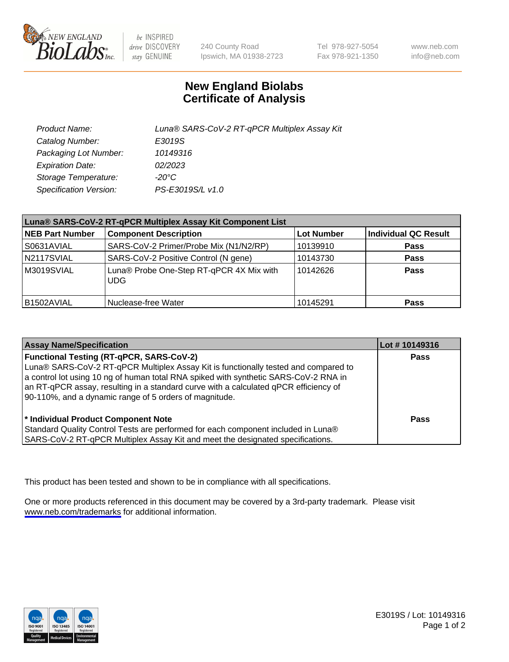

be INSPIRED drive DISCOVERY stay GENUINE

240 County Road Ipswich, MA 01938-2723 Tel 978-927-5054 Fax 978-921-1350

www.neb.com info@neb.com

## **New England Biolabs Certificate of Analysis**

| Product Name:           | Luna® SARS-CoV-2 RT-qPCR Multiplex Assay Kit |
|-------------------------|----------------------------------------------|
| Catalog Number:         | E3019S                                       |
| Packaging Lot Number:   | 10149316                                     |
| <b>Expiration Date:</b> | 02/2023                                      |
| Storage Temperature:    | -20°C                                        |
| Specification Version:  | PS-E3019S/L v1.0                             |

| Luna® SARS-CoV-2 RT-qPCR Multiplex Assay Kit Component List |                                                    |                   |                      |  |
|-------------------------------------------------------------|----------------------------------------------------|-------------------|----------------------|--|
| <b>NEB Part Number</b>                                      | <b>Component Description</b>                       | <b>Lot Number</b> | Individual QC Result |  |
| S0631AVIAL                                                  | SARS-CoV-2 Primer/Probe Mix (N1/N2/RP)             | 10139910          | <b>Pass</b>          |  |
| N2117SVIAL                                                  | SARS-CoV-2 Positive Control (N gene)               | 10143730          | <b>Pass</b>          |  |
| M3019SVIAL                                                  | Luna® Probe One-Step RT-qPCR 4X Mix with<br>l UDG. | 10142626          | <b>Pass</b>          |  |
| B1502AVIAL                                                  | Nuclease-free Water                                | 10145291          | <b>Pass</b>          |  |

| <b>Assay Name/Specification</b>                                                                                                                                                                                                                                                                                                                                                  | Lot #10149316 |
|----------------------------------------------------------------------------------------------------------------------------------------------------------------------------------------------------------------------------------------------------------------------------------------------------------------------------------------------------------------------------------|---------------|
| <b>Functional Testing (RT-gPCR, SARS-CoV-2)</b><br>Luna® SARS-CoV-2 RT-qPCR Multiplex Assay Kit is functionally tested and compared to<br>a control lot using 10 ng of human total RNA spiked with synthetic SARS-CoV-2 RNA in<br>an RT-qPCR assay, resulting in a standard curve with a calculated qPCR efficiency of<br>90-110%, and a dynamic range of 5 orders of magnitude. | <b>Pass</b>   |
| * Individual Product Component Note<br>Standard Quality Control Tests are performed for each component included in Luna®<br>SARS-CoV-2 RT-qPCR Multiplex Assay Kit and meet the designated specifications.                                                                                                                                                                       | Pass          |

This product has been tested and shown to be in compliance with all specifications.

One or more products referenced in this document may be covered by a 3rd-party trademark. Please visit <www.neb.com/trademarks>for additional information.